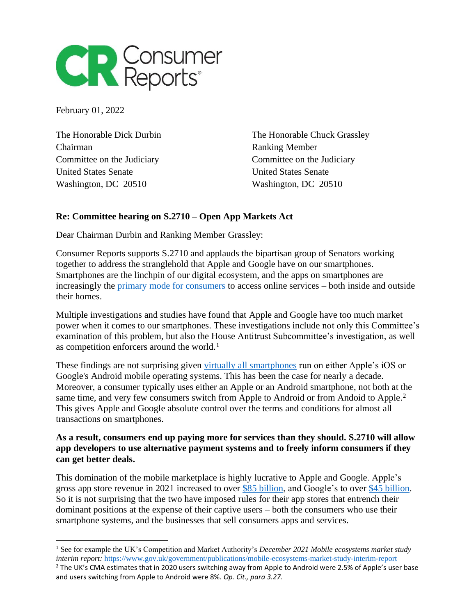

February 01, 2022

Chairman Ranking Member Committee on the Judiciary Committee on the Judiciary United States Senate United States Senate Washington, DC 20510 Washington, DC 20510

The Honorable Dick Durbin The Honorable Chuck Grassley

# **Re: Committee hearing on S.2710 – Open App Markets Act**

Dear Chairman Durbin and Ranking Member Grassley:

Consumer Reports supports S.2710 and applauds the bipartisan group of Senators working together to address the stranglehold that Apple and Google have on our smartphones. Smartphones are the linchpin of our digital ecosystem, and the apps on smartphones are increasingly the [primary mode for consumers](https://www.emarketer.com/content/us-mobile-time-spent-2020) to access online services – both inside and outside their homes.

Multiple investigations and studies have found that Apple and Google have too much market power when it comes to our smartphones. These investigations include not only this Committee's examination of this problem, but also the House Antitrust Subcommittee's investigation, as well as competition enforcers around the world. $<sup>1</sup>$ </sup>

These findings are not surprising given [virtually all smartphones](https://www.statista.com/statistics/266572/market-share-held-by-smartphone-platforms-in-the-united-states/) run on either Apple's iOS or Google's Android mobile operating systems. This has been the case for nearly a decade. Moreover, a consumer typically uses either an Apple or an Android smartphone, not both at the same time, and very few consumers switch from Apple to Android or from Andoid to Apple.<sup>2</sup> This gives Apple and Google absolute control over the terms and conditions for almost all transactions on smartphones.

### **As a result, consumers end up paying more for services than they should. S.2710 will allow app developers to use alternative payment systems and to freely inform consumers if they can get better deals.**

This domination of the mobile marketplace is highly lucrative to Apple and Google. Apple's gross app store revenue in 2021 increased to over \$85 [billion,](https://www.statista.com/statistics/296226/annual-apple-app-store-revenue/) and Google's to over \$45 [billion.](https://www.statista.com/statistics/444476/google-play-annual-revenue/) So it is not surprising that the two have imposed rules for their app stores that entrench their dominant positions at the expense of their captive users – both the consumers who use their smartphone systems, and the businesses that sell consumers apps and services.

<sup>1</sup> See for example the UK's Competition and Market Authority's *December 2021 Mobile ecosystems market study interim report:* <https://www.gov.uk/government/publications/mobile-ecosystems-market-study-interim-report>

<sup>&</sup>lt;sup>2</sup> The UK's CMA estimates that in 2020 users switching away from Apple to Android were 2.5% of Apple's user base and users switching from Apple to Android were 8%. *Op. Cit., para 3.27.*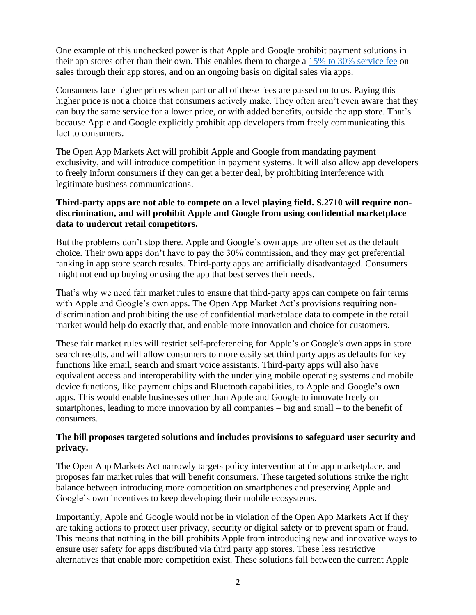One example of this unchecked power is that Apple and Google prohibit payment solutions in their app stores other than their own. This enables them to charge a [15% to 30% service fee](https://www.wsj.com/articles/google-to-lower-service-fee-for-play-store-app-developers-11615907010?st=ofpz9mgk28jmick&reflink=desktopwebshare_permalink) on sales through their app stores, and on an ongoing basis on digital sales via apps.

Consumers face higher prices when part or all of these fees are passed on to us. Paying this higher price is not a choice that consumers actively make. They often aren't even aware that they can buy the same service for a lower price, or with added benefits, outside the app store. That's because Apple and Google explicitly prohibit app developers from freely communicating this fact to consumers.

The Open App Markets Act will prohibit Apple and Google from mandating payment exclusivity, and will introduce competition in payment systems. It will also allow app developers to freely inform consumers if they can get a better deal, by prohibiting interference with legitimate business communications.

### **Third-party apps are not able to compete on a level playing field. S.2710 will require nondiscrimination, and will prohibit Apple and Google from using confidential marketplace data to undercut retail competitors.**

But the problems don't stop there. Apple and Google's own apps are often set as the default choice. Their own apps don't have to pay the 30% commission, and they may get preferential ranking in app store search results. Third-party apps are artificially disadvantaged. Consumers might not end up buying or using the app that best serves their needs.

That's why we need fair market rules to ensure that third-party apps can compete on fair terms with Apple and Google's own apps. The Open App Market Act's provisions requiring nondiscrimination and prohibiting the use of confidential marketplace data to compete in the retail market would help do exactly that, and enable more innovation and choice for customers.

These fair market rules will restrict self-preferencing for Apple's or Google's own apps in store search results, and will allow consumers to more easily set third party apps as defaults for key functions like email, search and smart voice assistants. Third-party apps will also have equivalent access and interoperability with the underlying mobile operating systems and mobile device functions, like payment chips and Bluetooth capabilities, to Apple and Google's own apps. This would enable businesses other than Apple and Google to innovate freely on smartphones, leading to more innovation by all companies – big and small – to the benefit of consumers.

# **The bill proposes targeted solutions and includes provisions to safeguard user security and privacy.**

The Open App Markets Act narrowly targets policy intervention at the app marketplace, and proposes fair market rules that will benefit consumers. These targeted solutions strike the right balance between introducing more competition on smartphones and preserving Apple and Google's own incentives to keep developing their mobile ecosystems.

Importantly, Apple and Google would not be in violation of the Open App Markets Act if they are taking actions to protect user privacy, security or digital safety or to prevent spam or fraud. This means that nothing in the bill prohibits Apple from introducing new and innovative ways to ensure user safety for apps distributed via third party app stores. These less restrictive alternatives that enable more competition exist. These solutions fall between the current Apple